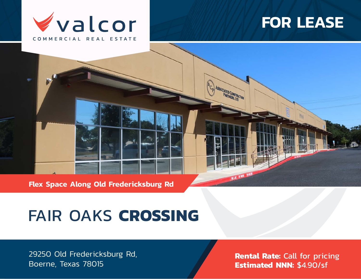

## **FOR LEASE**

**Flex Space Along Old Fredericksburg Rd**

# FAIR OAKS **CROSSING**

29250 Old Fredericksburg Rd, Boerne, Texas 78015

**Rental Rate:** Call for pricing **Estimated NNN:** \$4.90/sf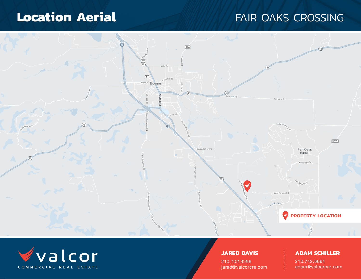## **Location Aerial Execution Aerial Accords** FAIR OAKS CROSSING





### **JARED DAVIS**

210.702.3956 jared@valcorcre.com

### **ADAM SCHILLER**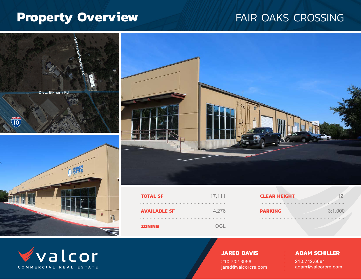## Property Overview **FAIR OAKS CROSSING**





### **JARED DAVIS**

210.702.3956 jared@valcorcre.com

### **ADAM SCHILLER**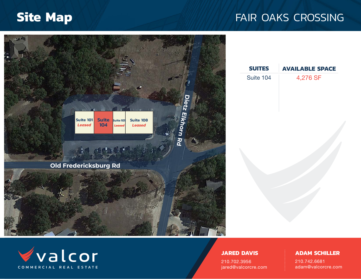## **Site Map FAIR OAKS CROSSING**





#### **JARED DAVIS**

210.702.3956 jared@valcorcre.com

#### **ADAM SCHILLER**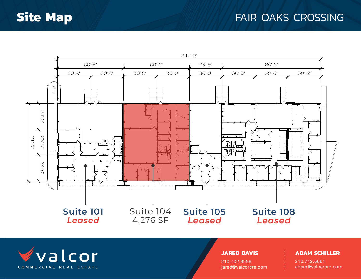### **Site Map FAIR OAKS CROSSING**





#### **JARED DAVIS**

210.702.3956 jared@valcorcre.com

#### **ADAM SCHILLER**